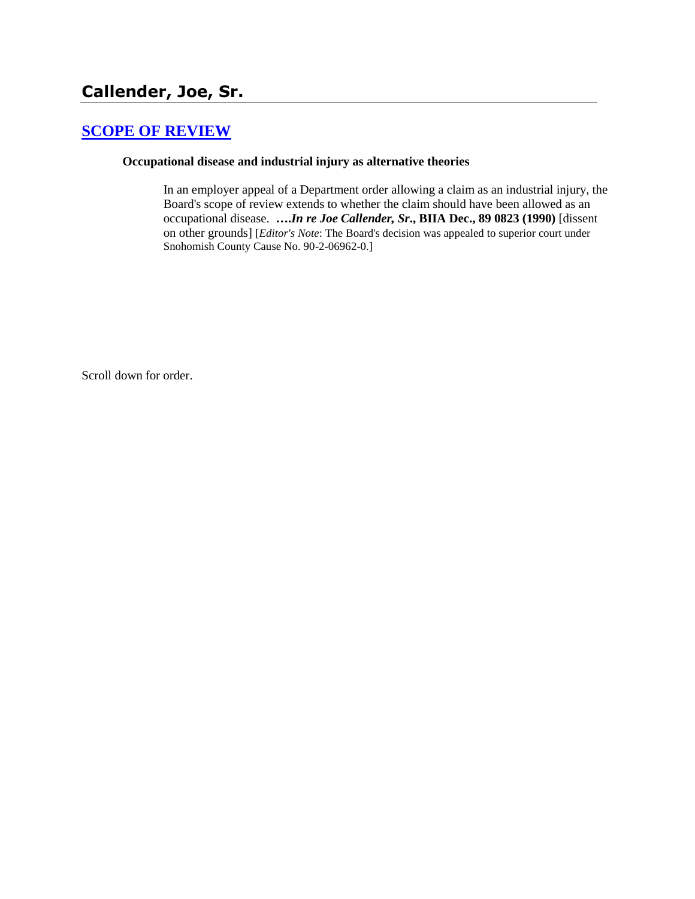# **[SCOPE OF REVIEW](http://www.biia.wa.gov/SDSubjectIndex.html#SCOPE_OF_REVIEW)**

### **Occupational disease and industrial injury as alternative theories**

In an employer appeal of a Department order allowing a claim as an industrial injury, the Board's scope of review extends to whether the claim should have been allowed as an occupational disease. **….***In re Joe Callender, Sr***., BIIA Dec., 89 0823 (1990)** [dissent on other grounds] [*Editor's Note*: The Board's decision was appealed to superior court under Snohomish County Cause No. 90-2-06962-0.]

Scroll down for order.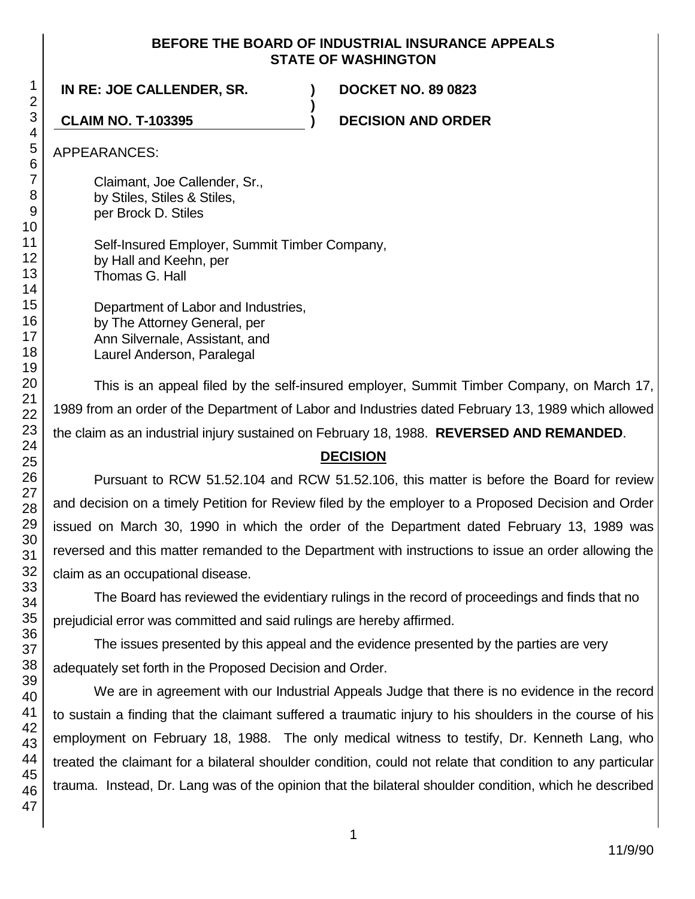## **BEFORE THE BOARD OF INDUSTRIAL INSURANCE APPEALS STATE OF WASHINGTON**

**)**

**IN RE: JOE CALLENDER, SR. ) DOCKET NO. 89 0823**

**CLAIM NO. T-103395 ) DECISION AND ORDER**

APPEARANCES:

Claimant, Joe Callender, Sr., by Stiles, Stiles & Stiles, per Brock D. Stiles

Self-Insured Employer, Summit Timber Company, by Hall and Keehn, per Thomas G. Hall

Department of Labor and Industries, by The Attorney General, per Ann Silvernale, Assistant, and Laurel Anderson, Paralegal

This is an appeal filed by the self-insured employer, Summit Timber Company, on March 17, 1989 from an order of the Department of Labor and Industries dated February 13, 1989 which allowed the claim as an industrial injury sustained on February 18, 1988. **REVERSED AND REMANDED**.

## **DECISION**

Pursuant to RCW 51.52.104 and RCW 51.52.106, this matter is before the Board for review and decision on a timely Petition for Review filed by the employer to a Proposed Decision and Order issued on March 30, 1990 in which the order of the Department dated February 13, 1989 was reversed and this matter remanded to the Department with instructions to issue an order allowing the claim as an occupational disease.

The Board has reviewed the evidentiary rulings in the record of proceedings and finds that no prejudicial error was committed and said rulings are hereby affirmed.

The issues presented by this appeal and the evidence presented by the parties are very adequately set forth in the Proposed Decision and Order.

We are in agreement with our Industrial Appeals Judge that there is no evidence in the record to sustain a finding that the claimant suffered a traumatic injury to his shoulders in the course of his employment on February 18, 1988. The only medical witness to testify, Dr. Kenneth Lang, who treated the claimant for a bilateral shoulder condition, could not relate that condition to any particular trauma. Instead, Dr. Lang was of the opinion that the bilateral shoulder condition, which he described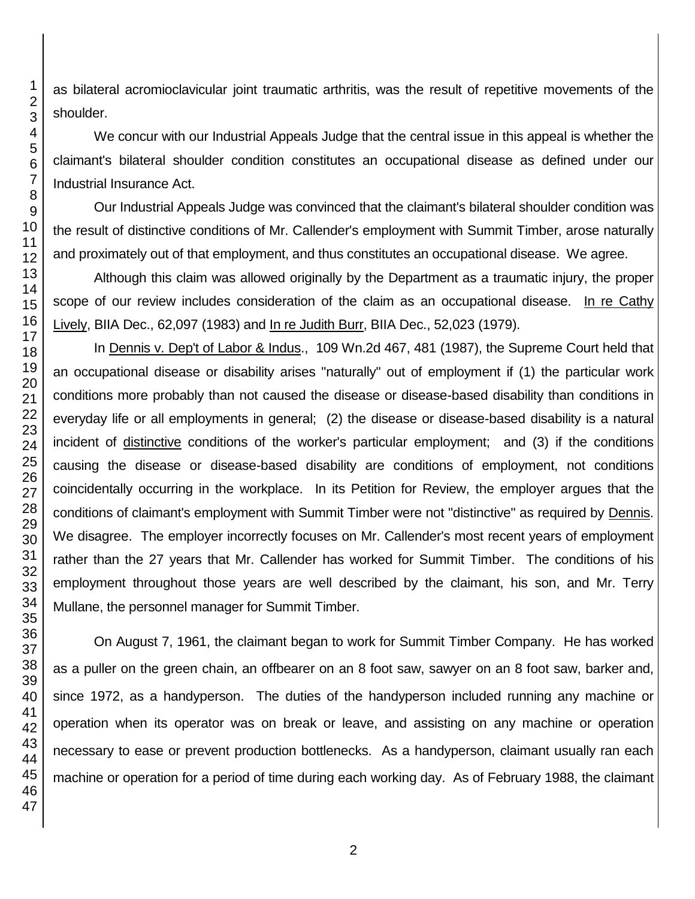as bilateral acromioclavicular joint traumatic arthritis, was the result of repetitive movements of the shoulder.

We concur with our Industrial Appeals Judge that the central issue in this appeal is whether the claimant's bilateral shoulder condition constitutes an occupational disease as defined under our Industrial Insurance Act.

Our Industrial Appeals Judge was convinced that the claimant's bilateral shoulder condition was the result of distinctive conditions of Mr. Callender's employment with Summit Timber, arose naturally and proximately out of that employment, and thus constitutes an occupational disease. We agree.

Although this claim was allowed originally by the Department as a traumatic injury, the proper scope of our review includes consideration of the claim as an occupational disease. In re Cathy Lively, BIIA Dec., 62,097 (1983) and In re Judith Burr, BIIA Dec., 52,023 (1979).

In Dennis v. Dep't of Labor & Indus., 109 Wn.2d 467, 481 (1987), the Supreme Court held that an occupational disease or disability arises "naturally" out of employment if (1) the particular work conditions more probably than not caused the disease or disease-based disability than conditions in everyday life or all employments in general; (2) the disease or disease-based disability is a natural incident of distinctive conditions of the worker's particular employment; and (3) if the conditions causing the disease or disease-based disability are conditions of employment, not conditions coincidentally occurring in the workplace. In its Petition for Review, the employer argues that the conditions of claimant's employment with Summit Timber were not "distinctive" as required by Dennis. We disagree. The employer incorrectly focuses on Mr. Callender's most recent years of employment rather than the 27 years that Mr. Callender has worked for Summit Timber. The conditions of his employment throughout those years are well described by the claimant, his son, and Mr. Terry Mullane, the personnel manager for Summit Timber.

On August 7, 1961, the claimant began to work for Summit Timber Company. He has worked as a puller on the green chain, an offbearer on an 8 foot saw, sawyer on an 8 foot saw, barker and, since 1972, as a handyperson. The duties of the handyperson included running any machine or operation when its operator was on break or leave, and assisting on any machine or operation necessary to ease or prevent production bottlenecks. As a handyperson, claimant usually ran each machine or operation for a period of time during each working day. As of February 1988, the claimant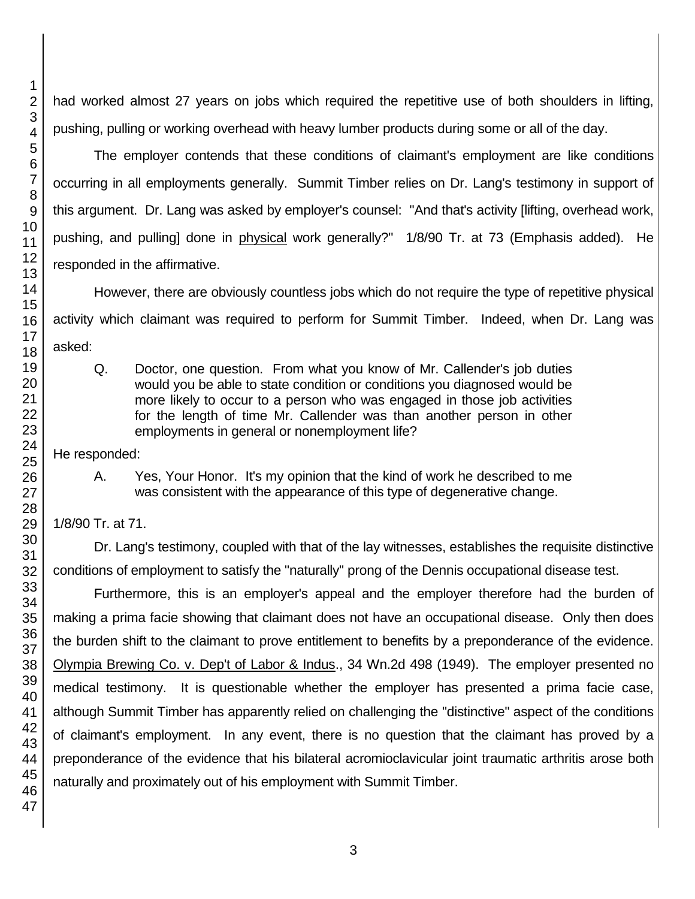had worked almost 27 years on jobs which required the repetitive use of both shoulders in lifting, pushing, pulling or working overhead with heavy lumber products during some or all of the day.

The employer contends that these conditions of claimant's employment are like conditions occurring in all employments generally. Summit Timber relies on Dr. Lang's testimony in support of this argument. Dr. Lang was asked by employer's counsel: "And that's activity [lifting, overhead work, pushing, and pulling] done in physical work generally?" 1/8/90 Tr. at 73 (Emphasis added). He responded in the affirmative.

However, there are obviously countless jobs which do not require the type of repetitive physical activity which claimant was required to perform for Summit Timber. Indeed, when Dr. Lang was asked:

Q. Doctor, one question. From what you know of Mr. Callender's job duties would you be able to state condition or conditions you diagnosed would be more likely to occur to a person who was engaged in those job activities for the length of time Mr. Callender was than another person in other employments in general or nonemployment life?

He responded:

A. Yes, Your Honor. It's my opinion that the kind of work he described to me was consistent with the appearance of this type of degenerative change.

1/8/90 Tr. at 71.

Dr. Lang's testimony, coupled with that of the lay witnesses, establishes the requisite distinctive conditions of employment to satisfy the "naturally" prong of the Dennis occupational disease test.

Furthermore, this is an employer's appeal and the employer therefore had the burden of making a prima facie showing that claimant does not have an occupational disease. Only then does the burden shift to the claimant to prove entitlement to benefits by a preponderance of the evidence. Olympia Brewing Co. v. Dep't of Labor & Indus., 34 Wn.2d 498 (1949). The employer presented no medical testimony. It is questionable whether the employer has presented a prima facie case, although Summit Timber has apparently relied on challenging the "distinctive" aspect of the conditions of claimant's employment. In any event, there is no question that the claimant has proved by a preponderance of the evidence that his bilateral acromioclavicular joint traumatic arthritis arose both naturally and proximately out of his employment with Summit Timber.